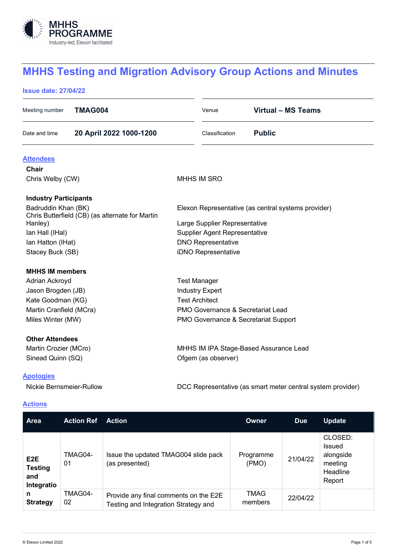

# **MHHS Testing and Migration Advisory Group Actions and Minutes**

## **Issue date: 27/04/22**

| Meeting number                                             | <b>TMAG004</b>          |                                                     | Venue               | <b>Virtual - MS Teams</b> |  |
|------------------------------------------------------------|-------------------------|-----------------------------------------------------|---------------------|---------------------------|--|
| Date and time                                              | 20 April 2022 1000-1200 |                                                     | Classification      | <b>Public</b>             |  |
| <b>Attendees</b>                                           |                         |                                                     |                     |                           |  |
| Chair                                                      |                         |                                                     |                     |                           |  |
| Chris Welby (CW)                                           |                         | <b>MHHS IM SRO</b>                                  |                     |                           |  |
| <b>Industry Participants</b>                               |                         |                                                     |                     |                           |  |
| Badruddin Khan (BK)                                        |                         | Elexon Representative (as central systems provider) |                     |                           |  |
| Chris Butterfield (CB) (as alternate for Martin<br>Hanley) |                         | Large Supplier Representative                       |                     |                           |  |
| Ian Hall (IHal)                                            |                         | <b>Supplier Agent Representative</b>                |                     |                           |  |
| Ian Hatton (IHat)                                          |                         | <b>DNO Representative</b>                           |                     |                           |  |
| Stacey Buck (SB)                                           |                         | iDNO Representative                                 |                     |                           |  |
| <b>MHHS IM members</b>                                     |                         |                                                     |                     |                           |  |
| Adrian Ackroyd                                             |                         | <b>Test Manager</b>                                 |                     |                           |  |
| Jason Brogden (JB)                                         |                         | <b>Industry Expert</b>                              |                     |                           |  |
| Kate Goodman (KG)                                          |                         | <b>Test Architect</b>                               |                     |                           |  |
| Martin Cranfield (MCra)                                    |                         | <b>PMO Governance &amp; Secretariat Lead</b>        |                     |                           |  |
| Miles Winter (MW)                                          |                         | PMO Governance & Secretariat Support                |                     |                           |  |
| <b>Other Attendees</b>                                     |                         |                                                     |                     |                           |  |
| Martin Crozier (MCro)                                      |                         | MHHS IM IPA Stage-Based Assurance Lead              |                     |                           |  |
| Sinead Quinn (SQ)                                          |                         |                                                     | Ofgem (as observer) |                           |  |
| <b>Apologies</b>                                           |                         |                                                     |                     |                           |  |

Nickie Bernsmeier-Rullow DCC Representative (as smart meter central system provider)

## **Actions**

| <b>Area</b>                                             | <b>Action Ref</b> | <b>Action</b>                                                                 | <b>Owner</b>       | Due      | <b>Update</b>                                                          |
|---------------------------------------------------------|-------------------|-------------------------------------------------------------------------------|--------------------|----------|------------------------------------------------------------------------|
| E <sub>2</sub> E<br><b>Testing</b><br>and<br>Integratio | TMAG04-<br>01     | Issue the updated TMAG004 slide pack<br>(as presented)                        | Programme<br>(PMO) | 21/04/22 | CLOSED:<br><b>Issued</b><br>alongside<br>meeting<br>Headline<br>Report |
| TMAG04-<br>n<br>02<br><b>Strategy</b>                   |                   | Provide any final comments on the E2E<br>Testing and Integration Strategy and | TMAG<br>members    | 22/04/22 |                                                                        |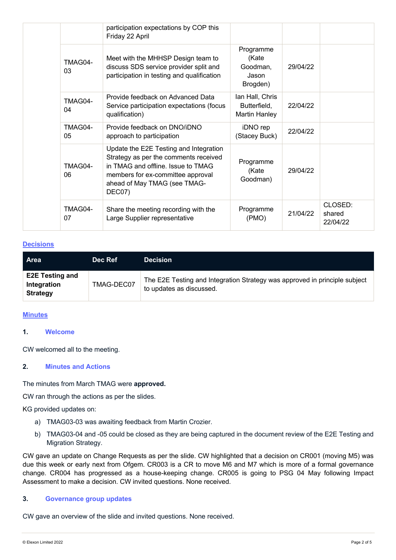|               | participation expectations by COP this<br>Friday 22 April                                                                                                                                            |                                                  |          |                               |
|---------------|------------------------------------------------------------------------------------------------------------------------------------------------------------------------------------------------------|--------------------------------------------------|----------|-------------------------------|
| TMAG04-<br>03 | Meet with the MHHSP Design team to<br>discuss SDS service provider split and<br>participation in testing and qualification                                                                           |                                                  | 29/04/22 |                               |
| TMAG04-<br>04 | Provide feedback on Advanced Data<br>Service participation expectations (focus<br>qualification)                                                                                                     | lan Hall, Chris<br>Butterfield,<br>Martin Hanley | 22/04/22 |                               |
| TMAG04-<br>05 | Provide feedback on DNO/iDNO<br>approach to participation                                                                                                                                            | iDNO rep<br>(Stacey Buck)                        | 22/04/22 |                               |
| TMAG04-<br>06 | Update the E2E Testing and Integration<br>Strategy as per the comments received<br>in TMAG and offline. Issue to TMAG<br>members for ex-committee approval<br>ahead of May TMAG (see TMAG-<br>DEC07) | Programme<br>(Kate<br>Goodman)                   | 29/04/22 |                               |
| TMAG04-<br>07 | Share the meeting recording with the<br>Large Supplier representative                                                                                                                                | Programme<br>(PMO)                               | 21/04/22 | CLOSED:<br>shared<br>22/04/22 |

## **Decisions**

| <b>Area</b>                                              | Dec Ref    | <b>Decision</b>                                                                                        |
|----------------------------------------------------------|------------|--------------------------------------------------------------------------------------------------------|
| <b>E2E Testing and</b><br>Integration<br><b>Strategy</b> | TMAG-DEC07 | The E2E Testing and Integration Strategy was approved in principle subject<br>to updates as discussed. |

#### **Minutes**

## **1. Welcome**

CW welcomed all to the meeting.

## **2. Minutes and Actions**

## The minutes from March TMAG were **approved.**

CW ran through the actions as per the slides.

KG provided updates on:

- a) TMAG03-03 was awaiting feedback from Martin Crozier.
- b) TMAG03-04 and -05 could be closed as they are being captured in the document review of the E2E Testing and Migration Strategy.

CW gave an update on Change Requests as per the slide. CW highlighted that a decision on CR001 (moving M5) was due this week or early next from Ofgem. CR003 is a CR to move M6 and M7 which is more of a formal governance change. CR004 has progressed as a house-keeping change. CR005 is going to PSG 04 May following Impact Assessment to make a decision. CW invited questions. None received.

#### **3. Governance group updates**

CW gave an overview of the slide and invited questions. None received.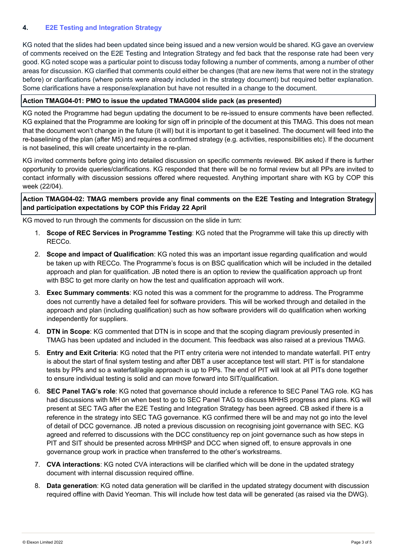# **4. E2E Testing and Integration Strategy**

KG noted that the slides had been updated since being issued and a new version would be shared. KG gave an overview of comments received on the E2E Testing and Integration Strategy and fed back that the response rate had been very good. KG noted scope was a particular point to discuss today following a number of comments, among a number of other areas for discussion. KG clarified that comments could either be changes (that are new items that were not in the strategy before) or clarifications (where points were already included in the strategy document) but required better explanation. Some clarifications have a response/explanation but have not resulted in a change to the document.

## **Action TMAG04-01: PMO to issue the updated TMAG004 slide pack (as presented)**

KG noted the Programme had begun updating the document to be re-issued to ensure comments have been reflected. KG explained that the Programme are looking for sign off in principle of the document at this TMAG. This does not mean that the document won't change in the future (it will) but it is important to get it baselined. The document will feed into the re-baselining of the plan (after M5) and requires a confirmed strategy (e.g. activities, responsibilities etc). If the document is not baselined, this will create uncertainty in the re-plan.

KG invited comments before going into detailed discussion on specific comments reviewed. BK asked if there is further opportunity to provide queries/clarifications. KG responded that there will be no formal review but all PPs are invited to contact informally with discussion sessions offered where requested. Anything important share with KG by COP this week (22/04).

## **Action TMAG04-02: TMAG members provide any final comments on the E2E Testing and Integration Strategy and participation expectations by COP this Friday 22 April**

KG moved to run through the comments for discussion on the slide in turn:

- 1. **Scope of REC Services in Programme Testing**: KG noted that the Programme will take this up directly with RECCo.
- 2. **Scope and impact of Qualification**: KG noted this was an important issue regarding qualification and would be taken up with RECCo. The Programme's focus is on BSC qualification which will be included in the detailed approach and plan for qualification. JB noted there is an option to review the qualification approach up front with BSC to get more clarity on how the test and qualification approach will work.
- 3. **Exec Summary comments**: KG noted this was a comment for the programme to address. The Programme does not currently have a detailed feel for software providers. This will be worked through and detailed in the approach and plan (including qualification) such as how software providers will do qualification when working independently for suppliers.
- 4. **DTN in Scope**: KG commented that DTN is in scope and that the scoping diagram previously presented in TMAG has been updated and included in the document. This feedback was also raised at a previous TMAG.
- 5. **Entry and Exit Criteria**: KG noted that the PIT entry criteria were not intended to mandate waterfall. PIT entry is about the start of final system testing and after DBT a user acceptance test will start. PIT is for standalone tests by PPs and so a waterfall/agile approach is up to PPs. The end of PIT will look at all PITs done together to ensure individual testing is solid and can move forward into SIT/qualification.
- 6. **SEC Panel TAG's role**: KG noted that governance should include a reference to SEC Panel TAG role. KG has had discussions with MH on when best to go to SEC Panel TAG to discuss MHHS progress and plans. KG will present at SEC TAG after the E2E Testing and Integration Strategy has been agreed. CB asked if there is a reference in the strategy into SEC TAG governance. KG confirmed there will be and may not go into the level of detail of DCC governance. JB noted a previous discussion on recognising joint governance with SEC. KG agreed and referred to discussions with the DCC constituency rep on joint governance such as how steps in PIT and SIT should be presented across MHHSP and DCC when signed off, to ensure approvals in one governance group work in practice when transferred to the other's workstreams.
- 7. **CVA interactions**: KG noted CVA interactions will be clarified which will be done in the updated strategy document with internal discussion required offline.
- 8. **Data generation**: KG noted data generation will be clarified in the updated strategy document with discussion required offline with David Yeoman. This will include how test data will be generated (as raised via the DWG).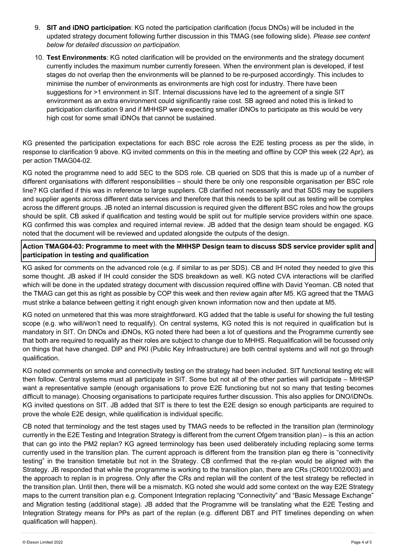- 9. **SIT and iDNO participation**: KG noted the participation clarification (focus DNOs) will be included in the updated strategy document following further discussion in this TMAG (see following slide). *Please see content below for detailed discussion on participation.*
- 10. **Test Environments**: KG noted clarification will be provided on the environments and the strategy document currently includes the maximum number currently foreseen. When the environment plan is developed, if test stages do not overlap then the environments will be planned to be re-purposed accordingly. This includes to minimise the number of environments as environments are high cost for industry. There have been suggestions for >1 environment in SIT. Internal discussions have led to the agreement of a single SIT environment as an extra environment could significantly raise cost. SB agreed and noted this is linked to participation clarification 9 and if MHHSP were expecting smaller iDNOs to participate as this would be very high cost for some small iDNOs that cannot be sustained.

KG presented the participation expectations for each BSC role across the E2E testing process as per the slide, in response to clarification 9 above. KG invited comments on this in the meeting and offline by COP this week (22 Apr), as per action TMAG04-02.

KG noted the programme need to add SEC to the SDS role. CB queried on SDS that this is made up of a number of different organisations with different responsibilities – should there be only one responsible organisation per BSC role line? KG clarified if this was in reference to large suppliers. CB clarified not necessarily and that SDS may be suppliers and supplier agents across different data services and therefore that this needs to be split out as testing will be complex across the different groups. JB noted an internal discussion is required given the different BSC roles and how the groups should be split. CB asked if qualification and testing would be split out for multiple service providers within one space. KG confirmed this was complex and required internal review. JB added that the design team should be engaged. KG noted that the document will be reviewed and updated alongside the outputs of the design.

## **Action TMAG04-03: Programme to meet with the MHHSP Design team to discuss SDS service provider split and participation in testing and qualification**

KG asked for comments on the advanced role (e.g. if similar to as per SDS). CB and IH noted they needed to give this some thought. JB asked if IH could consider the SDS breakdown as well. KG noted CVA interactions will be clarified which will be done in the updated strategy document with discussion required offline with David Yeoman. CB noted that the TMAG can get this as right as possible by COP this week and then review again after M5. KG agreed that the TMAG must strike a balance between getting it right enough given known information now and then update at M5.

KG noted on unmetered that this was more straightforward. KG added that the table is useful for showing the full testing scope (e.g. who will/won't need to requalify). On central systems, KG noted this is not required in qualification but is mandatory in SIT. On DNOs and iDNOs, KG noted there had been a lot of questions and the Programme currently see that both are required to requalify as their roles are subject to change due to MHHS. Requalification will be focussed only on things that have changed. DIP and PKI (Public Key Infrastructure) are both central systems and will not go through qualification.

KG noted comments on smoke and connectivity testing on the strategy had been included. SIT functional testing etc will then follow. Central systems must all participate in SIT. Some but not all of the other parties will participate – MHHSP want a representative sample (enough organisations to prove E2E functioning but not so many that testing becomes difficult to manage). Choosing organisations to participate requires further discussion. This also applies for DNO/iDNOs. KG invited questions on SIT. JB added that SIT is there to test the E2E design so enough participants are required to prove the whole E2E design, while qualification is individual specific.

CB noted that terminology and the test stages used by TMAG needs to be reflected in the transition plan (terminology currently in the E2E Testing and Integration Strategy is different from the current Ofgem transition plan) – is this an action that can go into the PM2 replan? KG agreed terminology has been used deliberately including replacing some terms currently used in the transition plan. The current approach is different from the transition plan eg there is "connectivity testing" in the transition timetable but not in the Strategy. CB confirmed that the re-plan would be aligned with the Strategy. JB responded that while the programme is working to the transition plan, there are CRs (CR001/002/003) and the approach to replan is in progress. Only after the CRs and replan will the content of the test strategy be reflected in the transition plan. Until then, there will be a mismatch. KG noted she would add some context on the way E2E Strategy maps to the current transition plan e.g. Component Integration replacing "Connectivity" and "Basic Message Exchange" and Migration testing (additional stage). JB added that the Programme will be translating what the E2E Testing and Integration Strategy means for PPs as part of the replan (e.g. different DBT and PIT timelines depending on when qualification will happen).